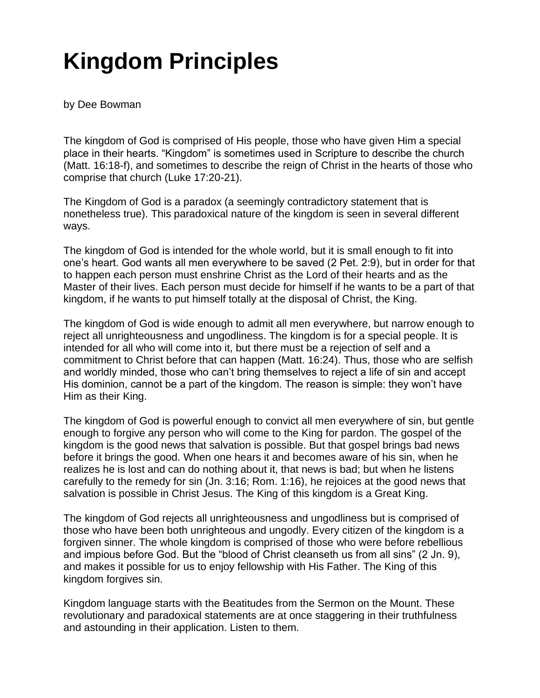## **Kingdom Principles**

by Dee Bowman

The kingdom of God is comprised of His people, those who have given Him a special place in their hearts. "Kingdom" is sometimes used in Scripture to describe the church (Matt. 16:18-f), and sometimes to describe the reign of Christ in the hearts of those who comprise that church (Luke 17:20-21).

The Kingdom of God is a paradox (a seemingly contradictory statement that is nonetheless true). This paradoxical nature of the kingdom is seen in several different ways.

The kingdom of God is intended for the whole world, but it is small enough to fit into one's heart. God wants all men everywhere to be saved (2 Pet. 2:9), but in order for that to happen each person must enshrine Christ as the Lord of their hearts and as the Master of their lives. Each person must decide for himself if he wants to be a part of that kingdom, if he wants to put himself totally at the disposal of Christ, the King.

The kingdom of God is wide enough to admit all men everywhere, but narrow enough to reject all unrighteousness and ungodliness. The kingdom is for a special people. It is intended for all who will come into it, but there must be a rejection of self and a commitment to Christ before that can happen (Matt. 16:24). Thus, those who are selfish and worldly minded, those who can't bring themselves to reject a life of sin and accept His dominion, cannot be a part of the kingdom. The reason is simple: they won't have Him as their King.

The kingdom of God is powerful enough to convict all men everywhere of sin, but gentle enough to forgive any person who will come to the King for pardon. The gospel of the kingdom is the good news that salvation is possible. But that gospel brings bad news before it brings the good. When one hears it and becomes aware of his sin, when he realizes he is lost and can do nothing about it, that news is bad; but when he listens carefully to the remedy for sin (Jn. 3:16; Rom. 1:16), he rejoices at the good news that salvation is possible in Christ Jesus. The King of this kingdom is a Great King.

The kingdom of God rejects all unrighteousness and ungodliness but is comprised of those who have been both unrighteous and ungodly. Every citizen of the kingdom is a forgiven sinner. The whole kingdom is comprised of those who were before rebellious and impious before God. But the "blood of Christ cleanseth us from all sins" (2 Jn. 9), and makes it possible for us to enjoy fellowship with His Father. The King of this kingdom forgives sin.

Kingdom language starts with the Beatitudes from the Sermon on the Mount. These revolutionary and paradoxical statements are at once staggering in their truthfulness and astounding in their application. Listen to them.